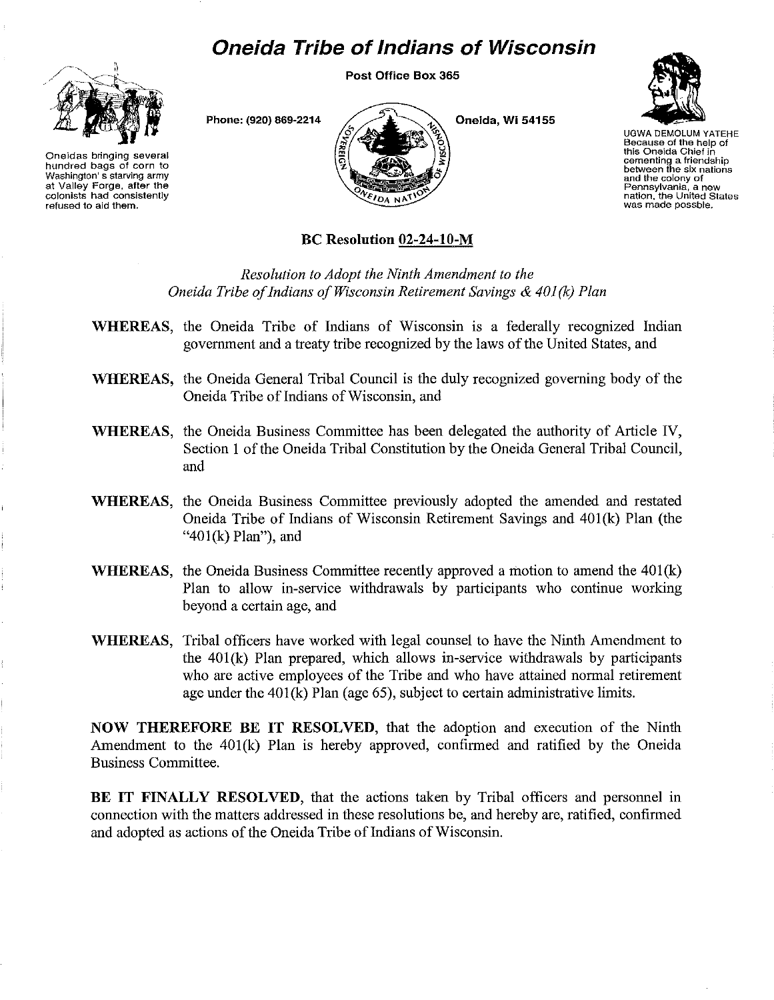# **Oneida Tribe of Indians of Wisconsin**

Post Office Box 365



Oneidas bringing several hundred bags of corn to Washington's starving army at Valley Forge. after the colonists had consistently refused to aid them.



Phone: (920) 869·2214

Oneida, WI 54155



UGWA DEMOLUM YATEHE Because of the help of this Oneida Chief in cementing a friendship between the six nations and the colony of Pennsylvania, a new nation, the United States was made possbte.

## BC Resolution 02-24-10-M

*Resolution to Adopt the Ninth Amendment to the Oneida Tribe ofIndians ofWisconsin Retirement Savings* & *401(k) Plan*

- WHEREAS, the Oneida Tribe of Indians of Wisconsin is a federally recognized Indian government and a treaty tribe recognized by the laws of the United States, and
- WHEREAS, the Oneida General Tribal Council is the duly recognized governing body of the Oneida Tribe of Indians of Wisconsin, and
- WHEREAS, the Oneida Business Committee has been delegated the authority of Article IV, Section 1 of the Oneida Tribal Constitution by the Oneida General Tribal Council, and
- WHEREAS, the Oneida Business Committee previously adopted the amended and restated Oneida Tribe of Indians of Wisconsin Retirement Savings and 401(k) Plan (the "401(k) Plan"), and
- WHEREAS, the Oneida Business Committee recently approved a motion to amend the 401(k) Plan to allow in-service withdrawals by participants who continue working beyond a certain age, and
- WHEREAS, Tribal officers have worked with legal counsel to have the Ninth Amendment to the 401(k) Plan prepared, which allows in-service withdrawals by participants who are active employees of the Tribe and who have attained normal retirement age under the 401(k) Plan (age 65), subject to certain administrative limits.

NOW THEREFORE BE IT RESOLVED, that the adoption and execution of the Ninth Amendment to the 401(k) Plan is hereby approved, confirmed and ratified by the Oneida Business Committee.

BE IT FINALLY RESOLVED, that the actions taken by Tribal officers and personnel in connection with the matters addressed in these resolutions be, and hereby are, ratified, confirmed and adopted as actions of the Oneida Tribe of Indians of Wisconsin.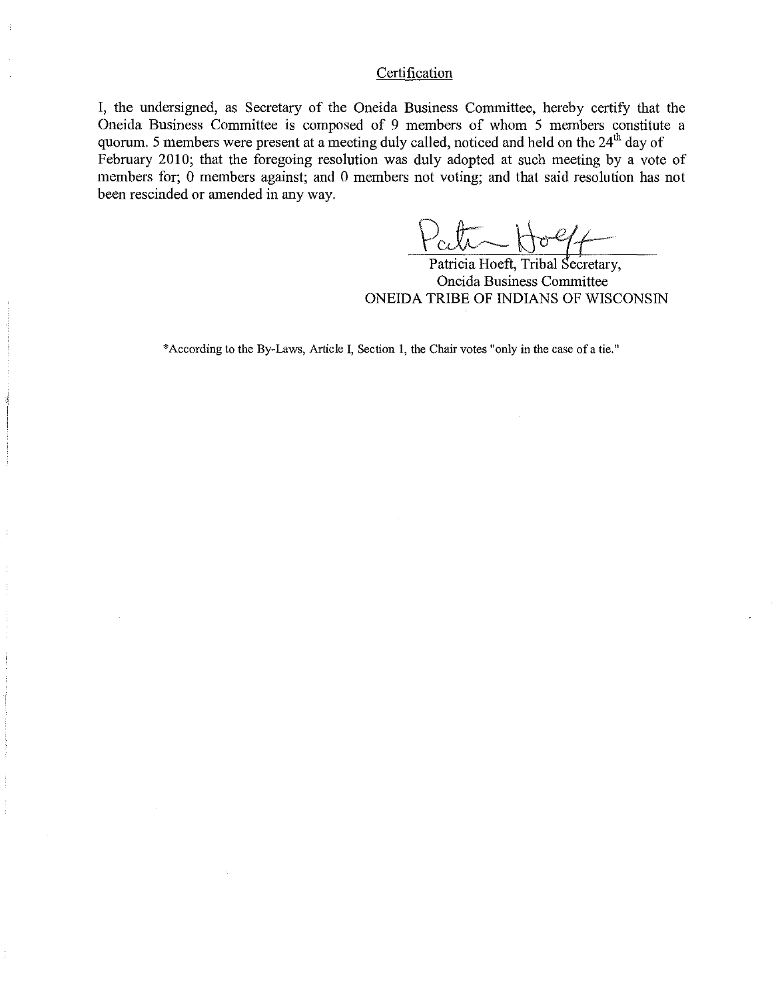#### **Certification**

I, the undersigned, as Secretary of the Oneida Business Committee, hereby certify that the Oneida Business Committee is composed of 9 members of whom 5 members constitute a quorum. 5 members were present at a meeting duly called, noticed and held on the 24<sup>th</sup> day of February 2010; that the foregoing resolution was duly adopted at such meeting by a vote of members for; 0 members against; and 0 members not voting; and that said resolution has not been rescinded or amended in any way.

Patricia Hoeft, Tribal Secretary, Oneida Business Committee ONEIDA TRIBE OF INDIANS OF WISCONSIN

\*According to the By-Laws, Article I, Section 1, the Chair votes "only in the case of a tie."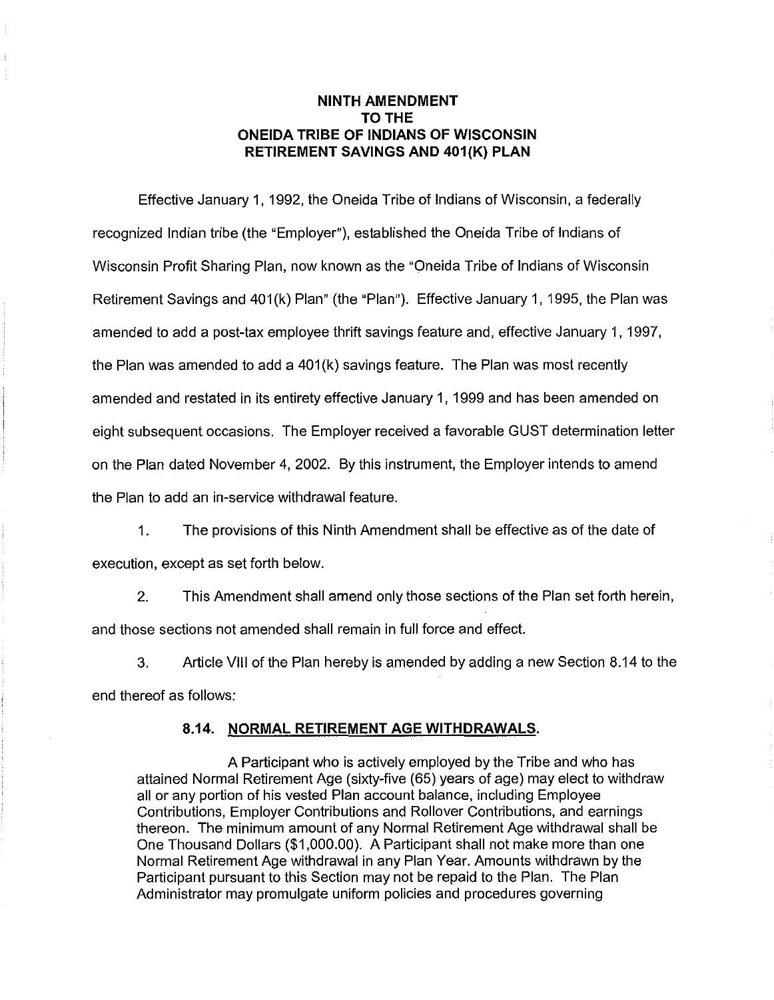#### **NINTH AMENDMENT** TO THE **ONEIDA TRIBE OF INDIANS OF WISCONSIN RETIREMENT SAVINGS AND 401(K) PLAN**

Effective January 1, 1992, the Oneida Tribe of Indians of Wisconsin, a federally recognized Indian tribe (the "Employer"), established the Oneida Tribe of Indians of Wisconsin Profit Sharing Plan, now known as the "Oneida Tribe of Indians of Wisconsin Retirement Savings and 401(k) Plan" (the "Plan"). Effective January 1, 1995, the Plan was amended to add a post-tax employee thrift savings feature and, effective January 1, 1997, the Plan was amended to add a **401**(k) savings feature. The Plan was most recently amended and restated in its entirety effective January 1, 1999 and has been amended on eight subsequent occasions. The Employer received a favorable GUST determination letter on the Plan dated November 4, 2002. By this instrument, the Employer intends to amend the Plan to add an in-service withdrawal feature.

1. The provisions of this Ninth Amendment shall be effective as of the date of execution, except as set forth below.

2. This Amendment shall amend only those sections of the Plan set forth herein, and those sections not amended shall remain in full force and effect.

3. Article **VIII** of the Plan hereby is amended by adding a new Section 8.14 to the end thereof as follows:

#### **8.14. NORMAL RETIREMENT AGE WITHDRAWALS.**

A Participant who is actively employed by the Tribe and who has attained Normal Retirement Age (sixty-five (65) years of age) may elect to withdraw all or any portion of his vested Plan account balance, including Employee Contributions, Employer Contributions and Rollover Contributions, and earnings thereon. The minimum amount of any Normal Retirement Age withdrawal shall be One Thousand Dollars (\$1,000.00). A Participant shall not make more than one Normal Retirement Age withdrawal in any Plan Year. Amounts withdrawn by the Participant pursuant to this Section may not be repaid to the Plan. The Plan Administrator may promulgate uniform policies and procedures governing